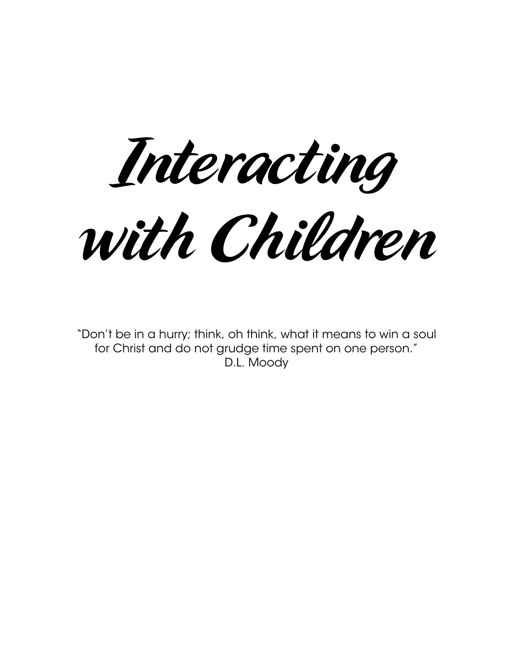Interacting with Children

"Don't be in a hurry; think, oh think, what it means to win a soul for Christ and do not grudge time spent on one person." D.L. Moody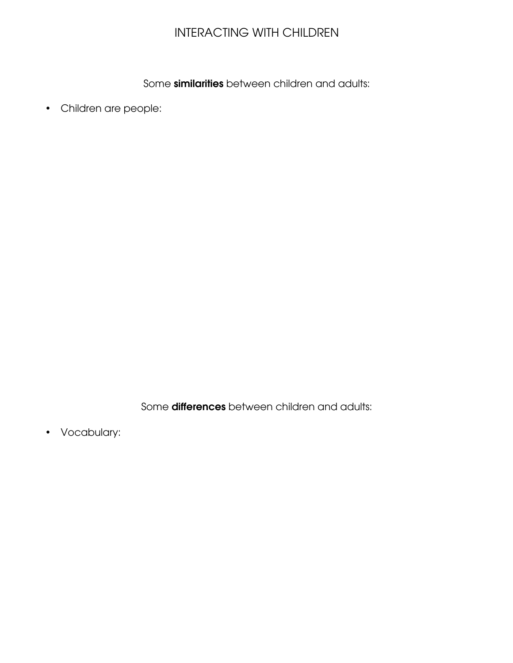## INTERACTING WITH CHILDREN

Some similarities between children and adults:

• Children are people:

Some differences between children and adults:

• Vocabulary: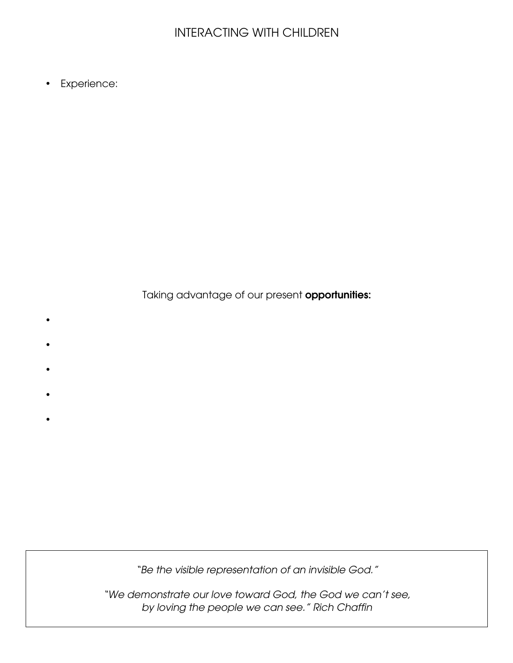## INTERACTING WITH CHILDREN

• Experience:

Taking advantage of our present **opportunities:** 

- •
- •
- •
- •
- •

"Be the visible representation of an invisible God."

"We demonstrate our love toward God, the God we can't see, by loving the people we can see." Rich Chaffin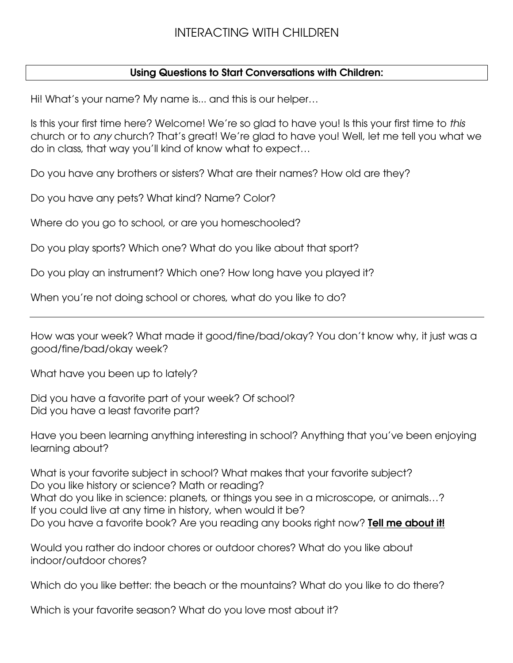## Using Questions to Start Conversations with Children:

Hi! What's your name? My name is... and this is our helper…

Is this your first time here? Welcome! We're so glad to have you! Is this your first time to this church or to any church? That's great! We're glad to have you! Well, let me tell you what we do in class, that way you'll kind of know what to expect…

Do you have any brothers or sisters? What are their names? How old are they?

Do you have any pets? What kind? Name? Color?

Where do you go to school, or are you homeschooled?

Do you play sports? Which one? What do you like about that sport?

Do you play an instrument? Which one? How long have you played it?

When you're not doing school or chores, what do you like to do?

How was your week? What made it good/fine/bad/okay? You don't know why, it just was a good/fine/bad/okay week?

What have you been up to lately?

Did you have a favorite part of your week? Of school? Did you have a least favorite part?

Have you been learning anything interesting in school? Anything that you've been enjoying learning about?

What is your favorite subject in school? What makes that your favorite subject? Do you like history or science? Math or reading? What do you like in science: planets, or things you see in a microscope, or animals…? If you could live at any time in history, when would it be? Do you have a favorite book? Are you reading any books right now? **Tell me about it!** 

Would you rather do indoor chores or outdoor chores? What do you like about indoor/outdoor chores?

Which do you like better: the beach or the mountains? What do you like to do there?

Which is your favorite season? What do you love most about it?